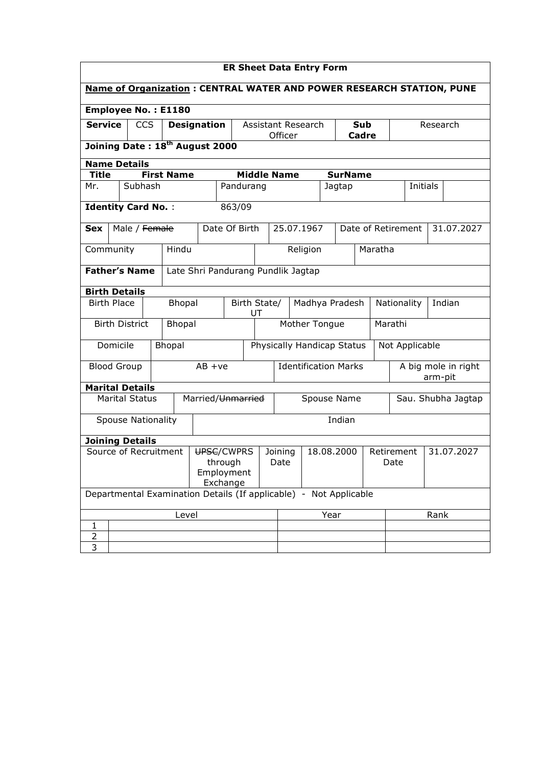| <b>ER Sheet Data Entry Form</b>                                             |                                                                   |                           |  |                                            |                                    |                               |               |                                   |                            |                                  |                    |                                |                 |  |            |
|-----------------------------------------------------------------------------|-------------------------------------------------------------------|---------------------------|--|--------------------------------------------|------------------------------------|-------------------------------|---------------|-----------------------------------|----------------------------|----------------------------------|--------------------|--------------------------------|-----------------|--|------------|
| <b>Name of Organization: CENTRAL WATER AND POWER RESEARCH STATION, PUNE</b> |                                                                   |                           |  |                                            |                                    |                               |               |                                   |                            |                                  |                    |                                |                 |  |            |
|                                                                             |                                                                   |                           |  | <b>Employee No.: E1180</b>                 |                                    |                               |               |                                   |                            |                                  |                    |                                |                 |  |            |
| <b>Service</b>                                                              | <b>CCS</b><br><b>Designation</b>                                  |                           |  |                                            | Assistant Research<br><b>Sub</b>   |                               |               |                                   | Research                   |                                  |                    |                                |                 |  |            |
|                                                                             |                                                                   |                           |  | Joining Date: 18 <sup>th</sup> August 2000 |                                    |                               |               | Officer                           |                            |                                  | Cadre              |                                |                 |  |            |
| <b>Name Details</b>                                                         |                                                                   |                           |  |                                            |                                    |                               |               |                                   |                            |                                  |                    |                                |                 |  |            |
| <b>Title</b>                                                                |                                                                   |                           |  | <b>First Name</b>                          |                                    |                               |               | <b>Middle Name</b>                |                            | <b>SurName</b>                   |                    |                                |                 |  |            |
| Mr.                                                                         |                                                                   | Subhash                   |  |                                            |                                    | Pandurang                     |               |                                   |                            | Jagtap                           |                    |                                | <b>Initials</b> |  |            |
| <b>Identity Card No.:</b>                                                   |                                                                   |                           |  |                                            |                                    | 863/09                        |               |                                   |                            |                                  |                    |                                |                 |  |            |
| <b>Sex</b>                                                                  |                                                                   | Male / Female             |  |                                            |                                    | Date Of Birth                 |               | 25.07.1967                        |                            |                                  | Date of Retirement |                                |                 |  | 31.07.2027 |
| Community                                                                   |                                                                   |                           |  | Hindu                                      |                                    |                               |               |                                   | Religion                   |                                  | Maratha            |                                |                 |  |            |
| <b>Father's Name</b>                                                        |                                                                   |                           |  |                                            | Late Shri Pandurang Pundlik Jagtap |                               |               |                                   |                            |                                  |                    |                                |                 |  |            |
| <b>Birth Details</b>                                                        |                                                                   |                           |  |                                            |                                    |                               |               |                                   |                            |                                  |                    |                                |                 |  |            |
| <b>Birth Place</b>                                                          |                                                                   |                           |  | Bhopal                                     |                                    | Birth State/                  |               |                                   | Madhya Pradesh             |                                  |                    | Nationality                    |                 |  | Indian     |
|                                                                             |                                                                   |                           |  |                                            |                                    | UT                            |               |                                   |                            |                                  |                    |                                |                 |  |            |
|                                                                             |                                                                   | <b>Birth District</b>     |  | <b>Bhopal</b>                              |                                    |                               | Mother Tongue |                                   |                            |                                  |                    | Marathi                        |                 |  |            |
|                                                                             | Domicile                                                          |                           |  | <b>Bhopal</b>                              |                                    |                               |               |                                   | Physically Handicap Status |                                  |                    |                                | Not Applicable  |  |            |
| <b>Blood Group</b>                                                          |                                                                   |                           |  |                                            | $AB + ve$                          | <b>Identification Marks</b>   |               |                                   |                            |                                  |                    | A big mole in right<br>arm-pit |                 |  |            |
| <b>Marital Details</b>                                                      |                                                                   |                           |  |                                            |                                    |                               |               |                                   |                            |                                  |                    |                                |                 |  |            |
|                                                                             |                                                                   | <b>Marital Status</b>     |  |                                            | Married/Unmarried                  |                               |               | Spouse Name<br>Sau. Shubha Jagtap |                            |                                  |                    |                                |                 |  |            |
|                                                                             |                                                                   | <b>Spouse Nationality</b> |  |                                            |                                    |                               |               |                                   |                            | Indian                           |                    |                                |                 |  |            |
| <b>Joining Details</b>                                                      |                                                                   |                           |  |                                            |                                    |                               |               |                                   |                            |                                  |                    |                                |                 |  |            |
| Source of Recruitment<br>UPSC/CWPRS<br>through<br>Employment<br>Exchange    |                                                                   |                           |  |                                            |                                    | 18.08.2000<br>Joining<br>Date |               |                                   |                            | 31.07.2027<br>Retirement<br>Date |                    |                                |                 |  |            |
|                                                                             | Departmental Examination Details (If applicable) - Not Applicable |                           |  |                                            |                                    |                               |               |                                   |                            |                                  |                    |                                |                 |  |            |
| Level                                                                       |                                                                   |                           |  |                                            |                                    | Rank<br>Year                  |               |                                   |                            |                                  |                    |                                |                 |  |            |
| 1                                                                           |                                                                   |                           |  |                                            |                                    |                               |               |                                   |                            |                                  |                    |                                |                 |  |            |
| 2                                                                           |                                                                   |                           |  |                                            |                                    |                               |               |                                   |                            |                                  |                    |                                |                 |  |            |
| 3                                                                           |                                                                   |                           |  |                                            |                                    |                               |               |                                   |                            |                                  |                    |                                |                 |  |            |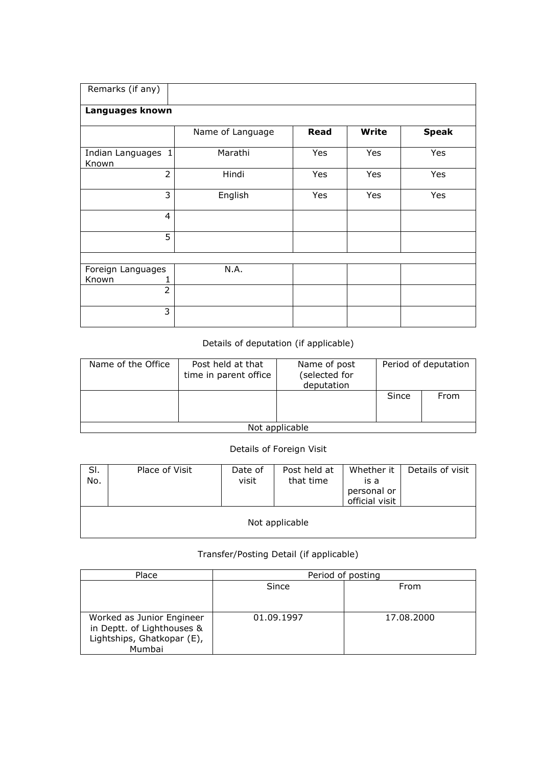| Remarks (if any)            |                  |      |              |              |
|-----------------------------|------------------|------|--------------|--------------|
| Languages known             |                  |      |              |              |
|                             | Name of Language | Read | <b>Write</b> | <b>Speak</b> |
| Indian Languages 1<br>Known | Marathi          | Yes  | Yes          | Yes          |
| $\overline{2}$              | Hindi            | Yes  | Yes          | Yes          |
| 3                           | English          | Yes  | Yes          | Yes          |
| $\overline{4}$              |                  |      |              |              |
| 5                           |                  |      |              |              |
|                             |                  |      |              |              |
| Foreign Languages<br>Known  | N.A.             |      |              |              |
| $\overline{2}$              |                  |      |              |              |
| 3                           |                  |      |              |              |

## Details of deputation (if applicable)

| Name of the Office | Post held at that<br>time in parent office | Name of post<br>(selected for<br>deputation | Period of deputation |      |  |  |  |  |
|--------------------|--------------------------------------------|---------------------------------------------|----------------------|------|--|--|--|--|
|                    |                                            |                                             | Since                | From |  |  |  |  |
| Not applicable     |                                            |                                             |                      |      |  |  |  |  |

## Details of Foreign Visit

| SI.<br>No. | Place of Visit | Date of<br>visit | Post held at<br>that time | Whether it<br>is a<br>personal or<br>official visit | Details of visit |  |  |  |  |  |  |
|------------|----------------|------------------|---------------------------|-----------------------------------------------------|------------------|--|--|--|--|--|--|
|            | Not applicable |                  |                           |                                                     |                  |  |  |  |  |  |  |

## Transfer/Posting Detail (if applicable)

| Place                                                                                           | Period of posting |            |  |  |  |  |
|-------------------------------------------------------------------------------------------------|-------------------|------------|--|--|--|--|
|                                                                                                 | Since             | From       |  |  |  |  |
| Worked as Junior Engineer<br>in Deptt. of Lighthouses &<br>Lightships, Ghatkopar (E),<br>Mumbai | 01.09.1997        | 17.08.2000 |  |  |  |  |